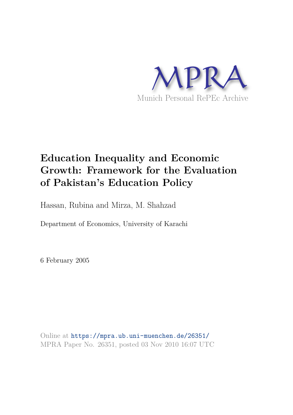

## **Education Inequality and Economic Growth: Framework for the Evaluation of Pakistan's Education Policy**

Hassan, Rubina and Mirza, M. Shahzad

Department of Economics, University of Karachi

6 February 2005

Online at https://mpra.ub.uni-muenchen.de/26351/ MPRA Paper No. 26351, posted 03 Nov 2010 16:07 UTC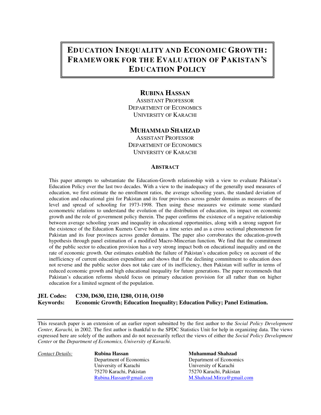## **EDUCATION INEQUALITY AND ECONOMIC GROWTH: FRAMEW ORK FOR TH E EVALUATION OF PAKISTAN'S EDUCATION POLICY**

### **RUBINA HASSAN**

ASSISTANT PROFESSOR DEPARTMENT OF ECONOMICS UNIVERSITY OF KARACHI

#### **MUHAMMAD SHAHZAD**

ASSISTANT PROFESSOR DEPARTMENT OF ECONOMICS UNIVERSITY OF KARACHI

#### **ABSTRACT**

This paper attempts to substantiate the Education-Growth relationship with a view to evaluate Pakistan's Education Policy over the last two decades. With a view to the inadequacy of the generally used measures of education, we first estimate the no enrollment ratios, the average schooling years, the standard deviation of education and educational gini for Pakistan and its four provinces across gender domains as measures of the level and spread of schooling for 1973-1998. Then using these measures we estimate some standard econometric relations to understand the evolution of the distribution of education, its impact on economic growth and the role of government policy therein. The paper confirms the existence of a negative relationship between average schooling years and inequality in educational opportunities, along with a strong support for the existence of the Education Kuznets Curve both as a time series and as a cross sectional phenomenon for Pakistan and its four provinces across gender domains. The paper also corroborates the education-growth hypothesis through panel estimation of a modified Macro-Mincerian function. We find that the commitment of the public sector to education provision has a very strong impact both on educational inequality and on the rate of economic growth. Our estimates establish the failure of Pakistan's education policy on account of the inefficiency of current education expenditure and shows that if the declining commitment to education does not reverse and the public sector does not take care of its inefficiency, then Pakistan will suffer in terms of reduced economic growth and high educational inequality for future generations. The paper recommends that Pakistan's education reforms should focus on primary education provision for all rather than on higher education for a limited segment of the population.

#### **JEL Codes: C330, D630, I210, I280, O110, O150 Keywords: Education Inequality; Education Policy; Panel Estimation.**

This research paper is an extension of an earlier report submitted by the first author to the *Social Policy Development Center, Karachi,* in 2002. The first author is thankful to the SPDC Statistics Unit for help in organizing data. The views expressed here are solely of the authors and do not necessarily reflect the views of either the *Social Policy Development Center* or the *Department of Economics, University of Karachi*.

**Contact Details: Rubina Hassan Muhammad Shahzad**  Department of Economics Department of Economics University of Karachi<br>
75270 Karachi, Pakistan<br>
75270 Karachi, Pakistan<br>
75270 Karachi, Pakistan 75270 Karachi, Pakistan 75270 Karachi, Pakistan

Rubina.Hassan@gmail.com M.Shahzad.Mirza@gmail.com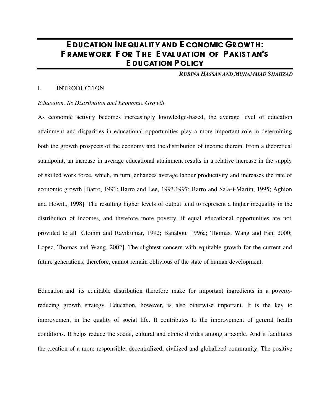## E DUCATION INEQUAL ITY AND E CONOMIC GROWTH: F RAMEWORK FOR THE EVALUATION OF PAKISTAN'S E DUCATION POLICY

*RUBINA HASSAN AND MUHAMMAD SHAHZAD*

#### I. INTRODUCTION

#### *Education, Its Distribution and Economic Growth*

As economic activity becomes increasingly knowledge-based, the average level of education attainment and disparities in educational opportunities play a more important role in determining both the growth prospects of the economy and the distribution of income therein. From a theoretical standpoint, an increase in average educational attainment results in a relative increase in the supply of skilled work force, which, in turn, enhances average labour productivity and increases the rate of economic growth [Barro, 1991; Barro and Lee, 1993,1997; Barro and Sala-i-Martin, 1995; Aghion and Howitt, 1998]. The resulting higher levels of output tend to represent a higher inequality in the distribution of incomes, and therefore more poverty, if equal educational opportunities are not provided to all [Glomm and Ravikumar, 1992; Banabou, 1996a; Thomas, Wang and Fan, 2000; Lopez, Thomas and Wang, 2002]. The slightest concern with equitable growth for the current and future generations, therefore, cannot remain oblivious of the state of human development.

Education and its equitable distribution therefore make for important ingredients in a povertyreducing growth strategy. Education, however, is also otherwise important. It is the key to improvement in the quality of social life. It contributes to the improvement of general health conditions. It helps reduce the social, cultural and ethnic divides among a people. And it facilitates the creation of a more responsible, decentralized, civilized and globalized community. The positive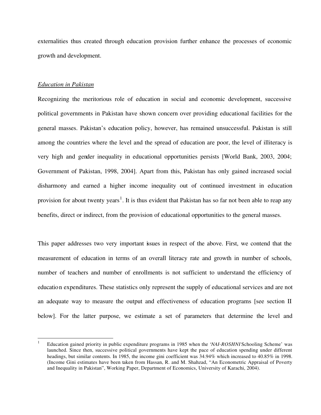externalities thus created through education provision further enhance the processes of economic growth and development.

#### *Education in Pakistan*

 $\overline{a}$ 

Recognizing the meritorious role of education in social and economic development, successive political governments in Pakistan have shown concern over providing educational facilities for the general masses. Pakistan's education policy, however, has remained unsuccessful. Pakistan is still among the countries where the level and the spread of education are poor, the level of illiteracy is very high and gender inequality in educational opportunities persists [World Bank, 2003, 2004; Government of Pakistan, 1998, 2004]. Apart from this, Pakistan has only gained increased social disharmony and earned a higher income inequality out of continued investment in education provision for about twenty years<sup>1</sup>. It is thus evident that Pakistan has so far not been able to reap any benefits, direct or indirect, from the provision of educational opportunities to the general masses.

This paper addresses two very important issues in respect of the above. First, we contend that the measurement of education in terms of an overall literacy rate and growth in number of schools, number of teachers and number of enrollments is not sufficient to understand the efficiency of education expenditures. These statistics only represent the supply of educational services and are not an adequate way to measure the output and effectiveness of education programs [see section II below]. For the latter purpose, we estimate a set of parameters that determine the level and

<sup>1</sup> Education gained priority in public expenditure programs in 1985 when the '*NAI-ROSHNI* Schooling Scheme' was launched. Since then, successive political governments have kept the pace of education spending under different headings, but similar contents. In 1985, the income gini coefficient was 34.94% which increased to 40.85% in 1998. (Income Gini estimates have been taken from Hassan, R. and M. Shahzad, "An Econometric Appraisal of Poverty and Inequality in Pakistan", Working Paper, Department of Economics, University of Karachi, 2004).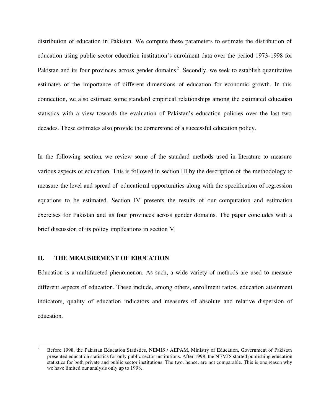distribution of education in Pakistan. We compute these parameters to estimate the distribution of education using public sector education institution's enrolment data over the period 1973-1998 for Pakistan and its four provinces across gender domains<sup>2</sup>. Secondly, we seek to establish quantitative estimates of the importance of different dimensions of education for economic growth. In this connection, we also estimate some standard empirical relationships among the estimated education statistics with a view towards the evaluation of Pakistan's education policies over the last two decades. These estimates also provide the cornerstone of a successful education policy.

In the following section, we review some of the standard methods used in literature to measure various aspects of education. This is followed in section III by the description of the methodology to measure the level and spread of educational opportunities along with the specification of regression equations to be estimated. Section IV presents the results of our computation and estimation exercises for Pakistan and its four provinces across gender domains. The paper concludes with a brief discussion of its policy implications in section V.

#### **II. THE MEAUSREMENT OF EDUCATION**

Education is a multifaceted phenomenon. As such, a wide variety of methods are used to measure different aspects of education. These include, among others, enrollment ratios, education attainment indicators, quality of education indicators and measures of absolute and relative dispersion of education.

 $\frac{1}{2}$  Before 1998, the Pakistan Education Statistics, NEMIS / AEPAM, Ministry of Education, Government of Pakistan presented education statistics for only public sector institutions. After 1998, the NEMIS started publishing education statistics for both private and public sector institutions. The two, hence, are not comparable. This is one reason why we have limited our analysis only up to 1998.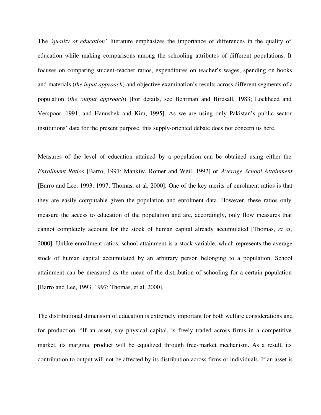The '*quality of education*' literature emphasizes the importance of differences in the quality of education while making comparisons among the schooling attributes of different populations. It focuses on comparing student-teacher ratios, expenditures on teacher's wages, spending on books and materials (*the input approach*) and objective examination's results across different segments of a population (*the output approach*) [For details, see Behrman and Birdsall, 1983; Lockheed and Verspoor, 1991; and Hanushek and Kim, 1995]. As we are using only Pakistan's public sector institutions' data for the present purpose, this supply-oriented debate does not concern us here.

Measures of the level of education attained by a population can be obtained using either the *Enrollment Ratios* [Barro, 1991; Mankiw, Romer and Weil, 1992] or *Average School Attainment* [Barro and Lee, 1993, 1997; Thomas, et al, 2000]. One of the key merits of enrolment ratios is that they are easily computable given the population and enrolment data. However, these ratios only measure the access to education of the population and are, accordingly, only flow measures that cannot completely account for the stock of human capital already accumulated [Thomas, *et al*, 2000]. Unlike enrollment ratios, school attainment is a stock variable, which represents the average stock of human capital accumulated by an arbitrary person belonging to a population. School attainment can be measured as the mean of the distribution of schooling for a certain population [Barro and Lee, 1993, 1997; Thomas, et al, 2000].

The distributional dimension of education is extremely important for both welfare considerations and for production. "If an asset, say physical capital, is freely traded across firms in a competitive market, its marginal product will be equalized through free-market mechanism. As a result, its contribution to output will not be affected by its distribution across firms or individuals. If an asset is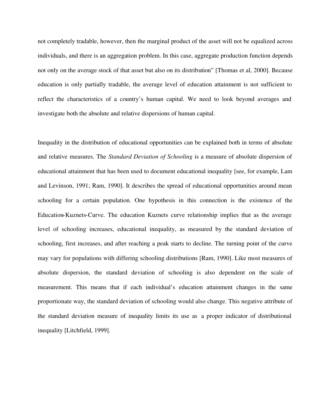not completely tradable, however, then the marginal product of the asset will not be equalized across individuals, and there is an aggregation problem. In this case, aggregate production function depends not only on the average stock of that asset but also on its distribution" [Thomas et al, 2000]. Because education is only partially tradable, the average level of education attainment is not sufficient to reflect the characteristics of a country's human capital. We need to look beyond averages and investigate both the absolute and relative dispersions of human capital.

Inequality in the distribution of educational opportunities can be explained both in terms of absolute and relative measures. The *Standard Deviation of Schooling* is a measure of absolute dispersion of educational attainment that has been used to document educational inequality [see, for example, Lam and Levinson, 1991; Ram, 1990]. It describes the spread of educational opportunities around mean schooling for a certain population. One hypothesis in this connection is the existence of the Education-Kuznets-Curve. The education Kuznets curve relationship implies that as the average level of schooling increases, educational inequality, as measured by the standard deviation of schooling, first increases, and after reaching a peak starts to decline. The turning point of the curve may vary for populations with differing schooling distributions [Ram, 1990]. Like most measures of absolute dispersion, the standard deviation of schooling is also dependent on the scale of measurement. This means that if each individual's education attainment changes in the same proportionate way, the standard deviation of schooling would also change. This negative attribute of the standard deviation measure of inequality limits its use as a proper indicator of distributional inequality [Litchfield, 1999].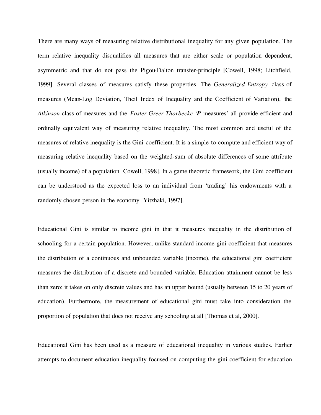There are many ways of measuring relative distributional inequality for any given population. The term relative inequality disqualifies all measures that are either scale or population dependent, asymmetric and that do not pass the Pigou-Dalton transfer-principle [Cowell, 1998; Litchfield, 1999]. Several classes of measures satisfy these properties. The *Generalized Entropy* class of measures (Mean-Log Deviation, Theil Index of Inequality and the Coefficient of Variation), the *Atkinson* class of measures and the *Foster-Greer-Thorbecke* '*P*-measures' all provide efficient and ordinally equivalent way of measuring relative inequality. The most common and useful of the measures of relative inequality is the Gini-coefficient. It is a simple-to-compute and efficient way of measuring relative inequality based on the weighted-sum of absolute differences of some attribute (usually income) of a population [Cowell, 1998]. In a game theoretic framework, the Gini coefficient can be understood as the expected loss to an individual from 'trading' his endowments with a randomly chosen person in the economy [Yitzhaki, 1997].

Educational Gini is similar to income gini in that it measures inequality in the distribution of schooling for a certain population. However, unlike standard income gini coefficient that measures the distribution of a continuous and unbounded variable (income), the educational gini coefficient measures the distribution of a discrete and bounded variable. Education attainment cannot be less than zero; it takes on only discrete values and has an upper bound (usually between 15 to 20 years of education). Furthermore, the measurement of educational gini must take into consideration the proportion of population that does not receive any schooling at all [Thomas et al, 2000].

Educational Gini has been used as a measure of educational inequality in various studies. Earlier attempts to document education inequality focused on computing the gini coefficient for education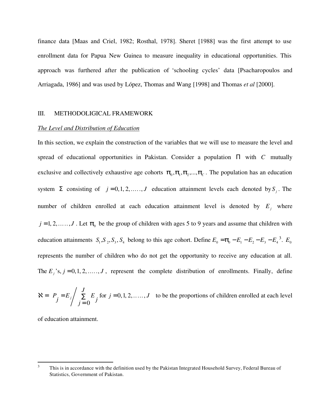finance data [Maas and Criel, 1982; Rosthal, 1978]. Sheret [1988] was the first attempt to use enrollment data for Papua New Guinea to measure inequality in educational opportunities. This approach was furthered after the publication of 'schooling cycles' data [Psacharopoulos and Arriagada, 1986] and was used by López, Thomas and Wang [1998] and Thomas *et al* [2000].

#### III. METHODOLIGICAL FRAMEWORK

#### *The Level and Distribution of Education*

In this section, we explain the construction of the variables that we will use to measure the level and spread of educational opportunities in Pakistan. Consider a population Π with *C* mutually exclusive and collectively exhaustive age cohorts  $\pi_0, \pi_1, \pi_2, ..., \pi_C$ . The population has an education system  $\Sigma$  consisting of  $j = 0, 1, 2, \ldots, J$  education attainment levels each denoted by  $S_j$ . The number of children enrolled at each education attainment level is denoted by  $E_j$  where  $j = 1, 2, \ldots, J$ . Let  $\pi_0$  be the group of children with ages 5 to 9 years and assume that children with education attainments  $S_1$ ,  $S_2$ ,  $S_3$ ,  $S_4$  belong to this age cohort. Define  $E_0 = \pi_0 - E_1 - E_2 - E_3 - E_4^3$ .  $E_0$ represents the number of children who do not get the opportunity to receive any education at all. The  $E_j$ 's,  $j = 0, 1, 2, \ldots, J$ , represent the complete distribution of enrollments. Finally, define

$$
\mathbf{X} = \left\{ P_j = E_j \middle/ \sum_{j=0}^{J} E_j \text{ for } j = 0, 1, 2, \dots, J \right\}
$$
 to be the proportions of children enrolled at each level

of education attainment.

 3 This is in accordance with the definition used by the Pakistan Integrated Household Survey, Federal Bureau of Statistics, Government of Pakistan.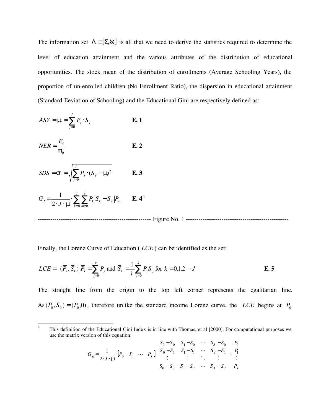The information set  $\Lambda = [\Sigma, \mathbf{X}]$  is all that we need to derive the statistics required to determine the level of education attainment and the various attributes of the distribution of educational opportunities. The stock mean of the distribution of enrollments (Average Schooling Years), the proportion of un-enrolled children (No Enrollment Ratio), the dispersion in educational attainment (Standard Deviation of Schooling) and the Educational Gini are respectively defined as:

$$
ASY = \mu = \sum_{j=0}^{J} P_j \cdot S_j
$$
 E. 1

$$
NER = \frac{E_0}{\pi_0} \qquad \qquad \mathbf{E. 2}
$$

$$
SDS = \sigma = \sqrt{\sum_{j=0}^{J} P_j \cdot (S_j - \mu)^2}
$$
 E. 3

$$
G_E = \frac{1}{2 \cdot J \cdot \mu} \cdot \sum_{k=0}^{J} \sum_{m=0}^{J} P_k \left| S_k - S_m \right| P_m \qquad \mathbf{E. 4}^4
$$

------------------------------------------------------ Figure No. 1 -------------------------------------------------

Finally, the Lorenz Curve of Education ( *LCE* ) can be identified as the set:

$$
LCE = \left\{ (\overline{P}_k, \overline{S}_k) \middle| \overline{P}_k = \sum_{j=0}^k P_j \text{ and } \overline{S}_k = \frac{1}{\overline{\iota}} \sum_{j=0}^k P_j S_j \text{ for } k = 0, 1, 2 \cdots J \right\}
$$
  
**E. 5**

The straight line from the origin to the top left corner represents the egalitarian line. As  $(P_0, S_0) = (P_0, 0)$ , therefore unlike the standard income Lorenz curve, the *LCE* begins at  $P_0$ 

$$
G_E = \frac{1}{2 \cdot J \cdot \mu} \cdot [P_0 \quad P_1 \quad \cdots \quad P_J] \begin{bmatrix} S_0 - S_0 & S_1 - S_0 & \cdots & S_J - S_0 \\ S_0 - S_1 & S_1 - S_1 & \cdots & S_J - S_1 \\ \vdots & \vdots & \ddots & \vdots \\ S_0 - S_J & S_1 - S_J & \cdots & S_J - S_J \end{bmatrix} \begin{bmatrix} P_0 \\ P_1 \\ \vdots \\ P_J \end{bmatrix}
$$

 $\frac{1}{4}$  This definition of the Educational Gini Index is in line with Thomas, et al [2000]. For computational purposes we use the matrix version of this equation:  $\sim$   $\sim$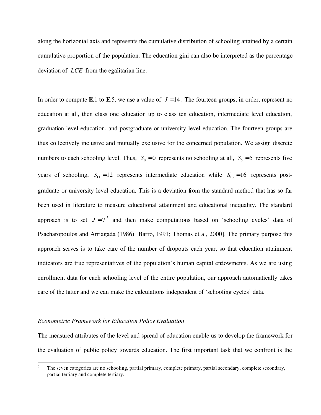along the horizontal axis and represents the cumulative distribution of schooling attained by a certain cumulative proportion of the population. The education gini can also be interpreted as the percentage deviation of *LCE* from the egalitarian line.

In order to compute **E**.1 to **E**.5, we use a value of  $J = 14$ . The fourteen groups, in order, represent no education at all, then class one education up to class ten education, intermediate level education, graduation level education, and postgraduate or university level education. The fourteen groups are thus collectively inclusive and mutually exclusive for the concerned population. We assign discrete numbers to each schooling level. Thus,  $S_0 = 0$  represents no schooling at all,  $S_5 = 5$  represents five years of schooling,  $S_{11} = 12$  represents intermediate education while  $S_{13} = 16$  represents postgraduate or university level education. This is a deviation from the standard method that has so far been used in literature to measure educational attainment and educational inequality. The standard approach is to set  $J = 7<sup>5</sup>$  and then make computations based on 'schooling cycles' data of Psacharopoulos and Arriagada (1986) [Barro, 1991; Thomas et al, 2000]. The primary purpose this approach serves is to take care of the number of dropouts each year, so that education attainment indicators are true representatives of the population's human capital endowments. As we are using enrollment data for each schooling level of the entire population, our approach automatically takes care of the latter and we can make the calculations independent of 'schooling cycles' data.

#### *Econometric Framework for Education Policy Evaluation*

The measured attributes of the level and spread of education enable us to develop the framework for the evaluation of public policy towards education. The first important task that we confront is the

 5 The seven categories are no schooling, partial primary, complete primary, partial secondary, complete secondary, partial tertiary and complete tertiary.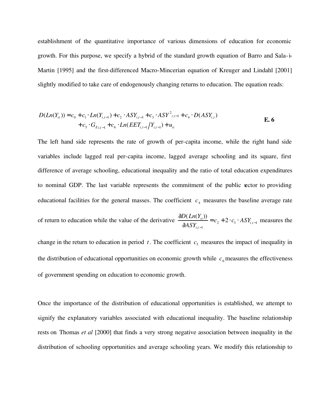establishment of the quantitative importance of various dimensions of education for economic growth. For this purpose, we specify a hybrid of the standard growth equation of Barro and Sala-i-Martin [1995] and the first-differenced Macro-Mincerian equation of Kreuger and Lindahl [2001] slightly modified to take care of endogenously changing returns to education. The equation reads:

$$
D(Ln(Y_{it})) = c_0 + c_1 \cdot Ln(Y_{i,t-1}) + c_2 \cdot ASY_{i,t-1} + c_3 \cdot ASY_{i,t-1} + c_4 \cdot D(ASY_{i,t})
$$
  
+ 
$$
c_5 \cdot G_{E_{it-1}} + c_6 \cdot Ln(EET_{i,t-1}/Y_{i,t-1}) + u_{it}
$$

The left hand side represents the rate of growth of per-capita income, while the right hand side variables include lagged real per-capita income, lagged average schooling and its square, first difference of average schooling, educational inequality and the ratio of total education expenditures to nominal GDP. The last variable represents the commitment of the public sector to providing educational facilities for the general masses. The coefficient  $c_4$  measures the baseline average rate of return to education while the value of the derivative  $\frac{dE(\mathbf{E} \cdot \mathbf{E})}{dt} = c_2 + 2 \cdot c_3 \cdot ASY_{i,t-1}$  $,t-1$ 2  $(Ln(Y_{it}))$ − −  $=c_2 + 2 \cdot c_3$ . ∂ ∂ *ti ti*  $\frac{i t^{1}}{2} = c_2 + 2 \cdot c_3 \cdot ASY$ *ASY*  $D(Ln(Y))$  measures the change in the return to education in period  $t$ . The coefficient  $c_5$  measures the impact of inequality in the distribution of educational opportunities on economic growth while  $c_6$  measures the effectiveness

Once the importance of the distribution of educational opportunities is established, we attempt to signify the explanatory variables associated with educational inequality. The baseline relationship rests on Thomas *et al* [2000] that finds a very strong negative association between inequality in the distribution of schooling opportunities and average schooling years. We modify this relationship to

of government spending on education to economic growth.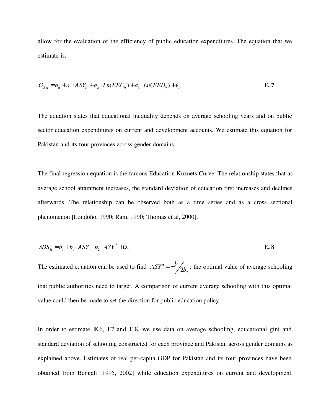allow for the evaluation of the efficiency of public education expenditures. The equation that we estimate is:

$$
G_{E_{it}} = a_0 + a_1 \cdot ASY_{it} + a_2 \cdot Ln(EEC_{it}) + a_3 \cdot Ln(EED_{it}) + \varepsilon_{it}
$$

The equation states that educational inequality depends on average schooling years and on public sector education expenditures on current and development accounts. We estimate this equation for Pakistan and its four provinces across gender domains.

The final regression equation is the famous Education Kuznets Curve. The relationship states that as average school attainment increases, the standard deviation of education first increases and declines afterwards. The relationship can be observed both as a time series and as a cross sectional phenomenon [Londoño, 1990; Ram, 1990; Thomas et al, 2000].

$$
SDS_{ii} = b_0 + b_1 \cdot ASY + b_2 \cdot ASY^2 + \mathbf{v}_{it}
$$
 E. 8

The estimated equation can be used to find  $ASY^* = -\frac{b_1}{2b_2}$ 1 2*b*  $ASY^* = -b/\sqrt{b}$  : the optimal value of average schooling that public authorities need to target. A comparison of current average schooling with this optimal value could then be made to set the direction for public education policy.

In order to estimate **E**.6, **E**7 and **E**.8, we use data on average schooling, educational gini and standard deviation of schooling constructed for each province and Pakistan across gender domains as explained above. Estimates of real per-capita GDP for Pakistan and its four provinces have been obtained from Bengali [1995, 2002] while education expenditures on current and development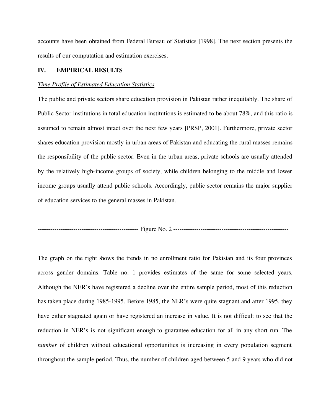accounts have been obtained from Federal Bureau of Statistics [1998]. The next section presents the results of our computation and estimation exercises.

### **IV. EMPIRICAL RESULTS**

#### *Time Profile of Estimated Education Statistics*

The public and private sectors share education provision in Pakistan rather inequitably. The share of Public Sector institutions in total education institutions is estimated to be about 78%, and this ratio is assumed to remain almost intact over the next few years [PRSP, 2001]. Furthermore, private sector shares education provision mostly in urban areas of Pakistan and educating the rural masses remains the responsibility of the public sector. Even in the urban areas, private schools are usually attended by the relatively high-income groups of society, while children belonging to the middle and lower income groups usually attend public schools. Accordingly, public sector remains the major supplier of education services to the general masses in Pakistan.

------------------------------------------------ Figure No. 2 -------------------------------------------------------

The graph on the right shows the trends in no enrollment ratio for Pakistan and its four provinces across gender domains. Table no. 1 provides estimates of the same for some selected years. Although the NER's have registered a decline over the entire sample period, most of this reduction has taken place during 1985-1995. Before 1985, the NER's were quite stagnant and after 1995, they have either stagnated again or have registered an increase in value. It is not difficult to see that the reduction in NER's is not significant enough to guarantee education for all in any short run. The *number* of children without educational opportunities is increasing in every population segment throughout the sample period. Thus, the number of children aged between 5 and 9 years who did not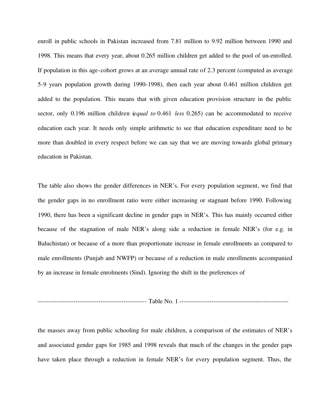enroll in public schools in Pakistan increased from 7.81 million to 9.92 million between 1990 and 1998. This means that every year, about 0.265 million children get added to the pool of un-enrolled. If population in this age-cohort grows at an average annual rate of 2.3 percent (computed as average 5-9 years population growth during 1990-1998), then each year about 0.461 million children get added to the population. This means that with given education provision structure in the public sector, only 0.196 million children (*equal to* 0.461 *less* 0.265) can be accommodated to receive education each year. It needs only simple arithmetic to see that education expenditure need to be more than doubled in every respect before we can say that we are moving towards global primary education in Pakistan.

The table also shows the gender differences in NER's. For every population segment, we find that the gender gaps in no enrollment ratio were either increasing or stagnant before 1990. Following 1990, there has been a significant decline in gender gaps in NER's. This has mainly occurred either because of the stagnation of male NER's along side a reduction in female NER's (for e.g. in Baluchistan) or because of a more than proportionate increase in female enrollments as compared to male enrollments (Punjab and NWFP) or because of a reduction in male enrollments accompanied by an increase in female enrolments (Sind). Ignoring the shift in the preferences of

---------------------------------------------------- Table No. 1 ----------------------------------------------------

the masses away from public schooling for male children, a comparison of the estimates of NER's and associated gender gaps for 1985 and 1998 reveals that much of the changes in the gender gaps have taken place through a reduction in female NER's for every population segment. Thus, the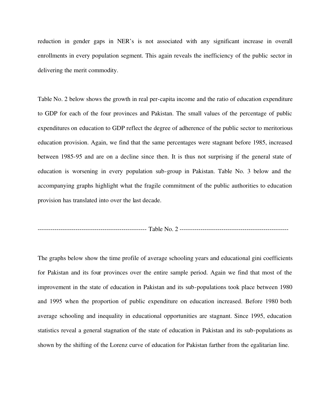reduction in gender gaps in NER's is not associated with any significant increase in overall enrollments in every population segment. This again reveals the inefficiency of the public sector in delivering the merit commodity.

Table No. 2 below shows the growth in real per-capita income and the ratio of education expenditure to GDP for each of the four provinces and Pakistan. The small values of the percentage of public expenditures on education to GDP reflect the degree of adherence of the public sector to meritorious education provision. Again, we find that the same percentages were stagnant before 1985, increased between 1985-95 and are on a decline since then. It is thus not surprising if the general state of education is worsening in every population sub-group in Pakistan. Table No. 3 below and the accompanying graphs highlight what the fragile commitment of the public authorities to education provision has translated into over the last decade.

---------------------------------------------------- Table No. 2 ----------------------------------------------------

The graphs below show the time profile of average schooling years and educational gini coefficients for Pakistan and its four provinces over the entire sample period. Again we find that most of the improvement in the state of education in Pakistan and its sub-populations took place between 1980 and 1995 when the proportion of public expenditure on education increased. Before 1980 both average schooling and inequality in educational opportunities are stagnant. Since 1995, education statistics reveal a general stagnation of the state of education in Pakistan and its sub-populations as shown by the shifting of the Lorenz curve of education for Pakistan farther from the egalitarian line.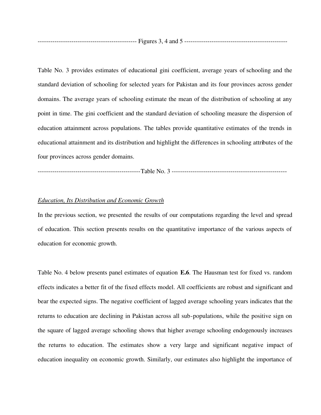----------------------------------------------- Figures 3, 4 and 5 -------------------------------------------------

Table No. 3 provides estimates of educational gini coefficient, average years of schooling and the standard deviation of schooling for selected years for Pakistan and its four provinces across gender domains. The average years of schooling estimate the mean of the distribution of schooling at any point in time. The gini coefficient and the standard deviation of schooling measure the dispersion of education attainment across populations. The tables provide quantitative estimates of the trends in educational attainment and its distribution and highlight the differences in schooling attributes of the four provinces across gender domains.

-------------------------------------------------Table No. 3 -------------------------------------------------------

#### *Education, Its Distribution and Economic Growth*

In the previous section, we presented the results of our computations regarding the level and spread of education. This section presents results on the quantitative importance of the various aspects of education for economic growth.

Table No. 4 below presents panel estimates of equation **E.6**. The Hausman test for fixed vs. random effects indicates a better fit of the fixed effects model. All coefficients are robust and significant and bear the expected signs. The negative coefficient of lagged average schooling years indicates that the returns to education are declining in Pakistan across all sub-populations, while the positive sign on the square of lagged average schooling shows that higher average schooling endogenously increases the returns to education. The estimates show a very large and significant negative impact of education inequality on economic growth. Similarly, our estimates also highlight the importance of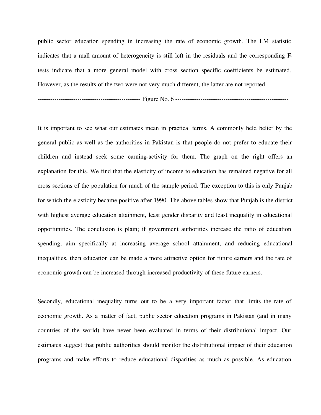public sector education spending in increasing the rate of economic growth. The LM statistic indicates that a mall amount of heterogeneity is still left in the residuals and the corresponding Ftests indicate that a more general model with cross section specific coefficients be estimated. However, as the results of the two were not very much different, the latter are not reported.

------------------------------------------------- Figure No. 6 ------------------------------------------------------

It is important to see what our estimates mean in practical terms. A commonly held belief by the general public as well as the authorities in Pakistan is that people do not prefer to educate their children and instead seek some earning-activity for them. The graph on the right offers an explanation for this. We find that the elasticity of income to education has remained negative for all cross sections of the population for much of the sample period. The exception to this is only Punjab for which the elasticity became positive after 1990. The above tables show that Punjab is the district with highest average education attainment, least gender disparity and least inequality in educational opportunities. The conclusion is plain; if government authorities increase the ratio of education spending, aim specifically at increasing average school attainment, and reducing educational inequalities, then education can be made a more attractive option for future earners and the rate of economic growth can be increased through increased productivity of these future earners.

Secondly, educational inequality turns out to be a very important factor that limits the rate of economic growth. As a matter of fact, public sector education programs in Pakistan (and in many countries of the world) have never been evaluated in terms of their distributional impact. Our estimates suggest that public authorities should monitor the distributional impact of their education programs and make efforts to reduce educational disparities as much as possible. As education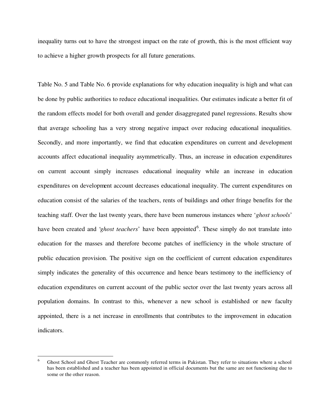inequality turns out to have the strongest impact on the rate of growth, this is the most efficient way to achieve a higher growth prospects for all future generations.

Table No. 5 and Table No. 6 provide explanations for why education inequality is high and what can be done by public authorities to reduce educational inequalities. Our estimates indicate a better fit of the random effects model for both overall and gender disaggregated panel regressions. Results show that average schooling has a very strong negative impact over reducing educational inequalities. Secondly, and more importantly, we find that education expenditures on current and development accounts affect educational inequality asymmetrically. Thus, an increase in education expenditures on current account simply increases educational inequality while an increase in education expenditures on development account decreases educational inequality. The current expenditures on education consist of the salaries of the teachers, rents of buildings and other fringe benefits for the teaching staff. Over the last twenty years, there have been numerous instances where '*ghost schools*' have been created and '*ghost teachers*' have been appointed<sup>6</sup>. These simply do not translate into education for the masses and therefore become patches of inefficiency in the whole structure of public education provision. The positive sign on the coefficient of current education expenditures simply indicates the generality of this occurrence and hence bears testimony to the inefficiency of education expenditures on current account of the public sector over the last twenty years across all population domains. In contrast to this, whenever a new school is established or new faculty appointed, there is a net increase in enrollments that contributes to the improvement in education indicators.

 6 Ghost School and Ghost Teacher are commonly referred terms in Pakistan. They refer to situations where a school has been established and a teacher has been appointed in official documents but the same are not functioning due to some or the other reason.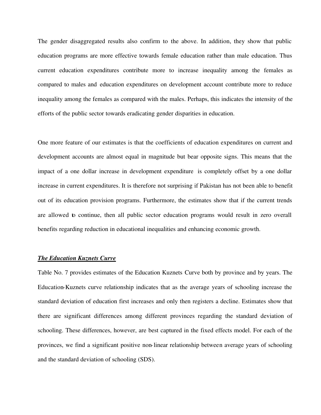The gender disaggregated results also confirm to the above. In addition, they show that public education programs are more effective towards female education rather than male education. Thus current education expenditures contribute more to increase inequality among the females as compared to males and education expenditures on development account contribute more to reduce inequality among the females as compared with the males. Perhaps, this indicates the intensity of the efforts of the public sector towards eradicating gender disparities in education.

One more feature of our estimates is that the coefficients of education expenditures on current and development accounts are almost equal in magnitude but bear opposite signs. This means that the impact of a one dollar increase in development expenditure is completely offset by a one dollar increase in current expenditures. It is therefore not surprising if Pakistan has not been able to benefit out of its education provision programs. Furthermore, the estimates show that if the current trends are allowed to continue, then all public sector education programs would result in zero overall benefits regarding reduction in educational inequalities and enhancing economic growth.

#### *The Education Kuznets Curve*

Table No. 7 provides estimates of the Education Kuznets Curve both by province and by years. The Education-Kuznets curve relationship indicates that as the average years of schooling increase the standard deviation of education first increases and only then registers a decline. Estimates show that there are significant differences among different provinces regarding the standard deviation of schooling. These differences, however, are best captured in the fixed effects model. For each of the provinces, we find a significant positive non-linear relationship between average years of schooling and the standard deviation of schooling (SDS).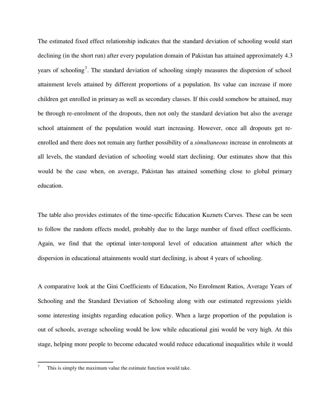The estimated fixed effect relationship indicates that the standard deviation of schooling would start declining (in the short run) after every population domain of Pakistan has attained approximately 4.3 years of schooling<sup>7</sup>. The standard deviation of schooling simply measures the dispersion of school attainment levels attained by different proportions of a population. Its value can increase if more children get enrolled in primary as well as secondary classes. If this could somehow be attained, may be through re-enrolment of the dropouts, then not only the standard deviation but also the average school attainment of the population would start increasing. However, once all dropouts get reenrolled and there does not remain any further possibility of a *simultaneous* increase in enrolments at all levels, the standard deviation of schooling would start declining. Our estimates show that this would be the case when, on average, Pakistan has attained something close to global primary education.

The table also provides estimates of the time-specific Education Kuznets Curves. These can be seen to follow the random effects model, probably due to the large number of fixed effect coefficients. Again, we find that the optimal inter-temporal level of education attainment after which the dispersion in educational attainments would start declining, is about 4 years of schooling.

A comparative look at the Gini Coefficients of Education, No Enrolment Ratios, Average Years of Schooling and the Standard Deviation of Schooling along with our estimated regressions yields some interesting insights regarding education policy. When a large proportion of the population is out of schools, average schooling would be low while educational gini would be very high. At this stage, helping more people to become educated would reduce educational inequalities while it would

 $\overline{a}$ 

<sup>7</sup> This is simply the maximum value the estimate function would take.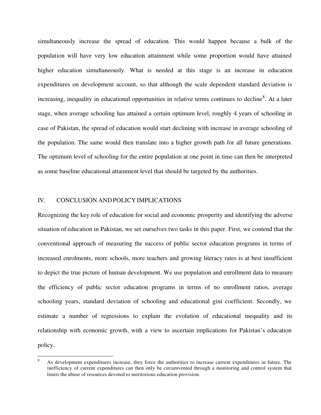simultaneously increase the spread of education. This would happen because a bulk of the population will have very low education attainment while some proportion would have attained higher education simultaneously. What is needed at this stage is an increase in education expenditures on development account, so that although the scale dependent standard deviation is increasing, inequality in educational opportunities in relative terms continues to decline<sup>8</sup>. At a later stage, when average schooling has attained a certain optimum level, roughly 4 years of schooling in case of Pakistan, the spread of education would start declining with increase in average schooling of the population. The same would then translate into a higher growth path for all future generations. The optimum level of schooling for the entire population at one point in time can then be interpreted as some baseline educational attainment level that should be targeted by the authorities.

#### IV. CONCLUSION ANDPOLICYIMPLICATIONS

 $\overline{a}$ 

Recognizing the key role of education for social and economic prosperity and identifying the adverse situation of education in Pakistan, we set ourselves two tasks in this paper. First, we contend that the conventional approach of measuring the success of public sector education programs in terms of increased enrolments, more schools, more teachers and growing literacy rates is at best insufficient to depict the true picture of human development. We use population and enrollment data to measure the efficiency of public sector education programs in terms of no enrollment ratios, average schooling years, standard deviation of schooling and educational gini coefficient. Secondly, we estimate a number of regressions to explain the evolution of educational inequality and its relationship with economic growth, with a view to ascertain implications for Pakistan's education policy.

<sup>8</sup> As development expenditures increase, they force the authorities to increase current expenditures in future. The inefficiency of current expenditures can then only be circumvented through a monitoring and control system that limits the abuse of resources devoted to meritorious education provision.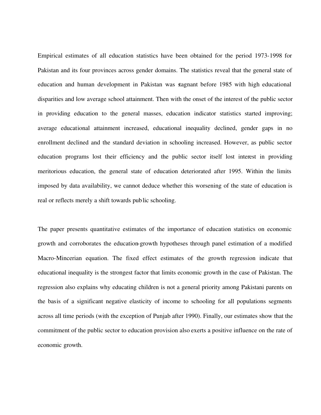Empirical estimates of all education statistics have been obtained for the period 1973-1998 for Pakistan and its four provinces across gender domains. The statistics reveal that the general state of education and human development in Pakistan was stagnant before 1985 with high educational disparities and low average school attainment. Then with the onset of the interest of the public sector in providing education to the general masses, education indicator statistics started improving; average educational attainment increased, educational inequality declined, gender gaps in no enrollment declined and the standard deviation in schooling increased. However, as public sector education programs lost their efficiency and the public sector itself lost interest in providing meritorious education, the general state of education deteriorated after 1995. Within the limits imposed by data availability, we cannot deduce whether this worsening of the state of education is real or reflects merely a shift towards public schooling.

The paper presents quantitative estimates of the importance of education statistics on economic growth and corroborates the education-growth hypotheses through panel estimation of a modified Macro-Mincerian equation. The fixed effect estimates of the growth regression indicate that educational inequality is the strongest factor that limits economic growth in the case of Pakistan. The regression also explains why educating children is not a general priority among Pakistani parents on the basis of a significant negative elasticity of income to schooling for all populations segments across all time periods (with the exception of Punjab after 1990). Finally, our estimates show that the commitment of the public sector to education provision also exerts a positive influence on the rate of economic growth.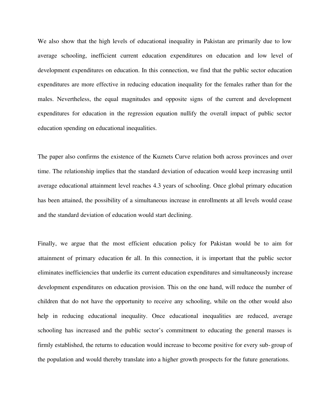We also show that the high levels of educational inequality in Pakistan are primarily due to low average schooling, inefficient current education expenditures on education and low level of development expenditures on education. In this connection, we find that the public sector education expenditures are more effective in reducing education inequality for the females rather than for the males. Nevertheless, the equal magnitudes and opposite signs of the current and development expenditures for education in the regression equation nullify the overall impact of public sector education spending on educational inequalities.

The paper also confirms the existence of the Kuznets Curve relation both across provinces and over time. The relationship implies that the standard deviation of education would keep increasing until average educational attainment level reaches 4.3 years of schooling. Once global primary education has been attained, the possibility of a simultaneous increase in enrollments at all levels would cease and the standard deviation of education would start declining.

Finally, we argue that the most efficient education policy for Pakistan would be to aim for attainment of primary education for all. In this connection, it is important that the public sector eliminates inefficiencies that underlie its current education expenditures and simultaneously increase development expenditures on education provision. This on the one hand, will reduce the number of children that do not have the opportunity to receive any schooling, while on the other would also help in reducing educational inequality. Once educational inequalities are reduced, average schooling has increased and the public sector's commitment to educating the general masses is firmly established, the returns to education would increase to become positive for every sub-group of the population and would thereby translate into a higher growth prospects for the future generations.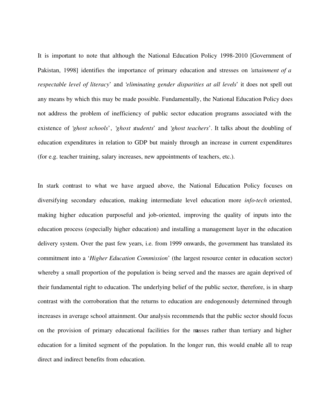It is important to note that although the National Education Policy 1998-2010 [Government of Pakistan, 1998] identifies the importance of primary education and stresses on '*attainment of a respectable level of literacy*' and '*eliminating gender disparities at all levels*' it does not spell out any means by which this may be made possible. Fundamentally, the National Education Policy does not address the problem of inefficiency of public sector education programs associated with the existence of '*ghost schools*', '*ghost students*' and '*ghost teachers*'. It talks about the doubling of education expenditures in relation to GDP but mainly through an increase in current expenditures (for e.g. teacher training, salary increases, new appointments of teachers, etc.).

In stark contrast to what we have argued above, the National Education Policy focuses on diversifying secondary education, making intermediate level education more *info-tech* oriented, making higher education purposeful and job-oriented, improving the quality of inputs into the education process (especially higher education) and installing a management layer in the education delivery system. Over the past few years, i.e. from 1999 onwards, the government has translated its commitment into a '*Higher Education Commission*' (the largest resource center in education sector) whereby a small proportion of the population is being served and the masses are again deprived of their fundamental right to education. The underlying belief of the public sector, therefore, is in sharp contrast with the corroboration that the returns to education are endogenously determined through increases in average school attainment. Our analysis recommends that the public sector should focus on the provision of primary educational facilities for the masses rather than tertiary and higher education for a limited segment of the population. In the longer run, this would enable all to reap direct and indirect benefits from education.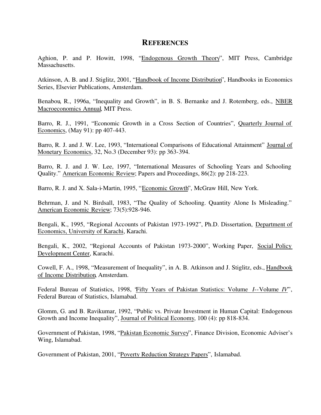## **REFERENCES**

Aghion, P. and P. Howitt, 1998, "Endogenous Growth Theory", MIT Press, Cambridge Massachusetts.

Atkinson, A. B. and J. Stiglitz, 2001, "Handbook of Income Distribution", Handbooks in Economics Series, Elsevier Publications, Amsterdam.

Benabou, R., 1996a, "Inequality and Growth", in B. S. Bernanke and J. Rotemberg, eds., NBER Macroeconomics Annual, MIT Press.

Barro, R. J., 1991, "Economic Growth in a Cross Section of Countries", Quarterly Journal of Economics, (May 91): pp 407-443.

Barro, R. J. and J. W. Lee, 1993, "International Comparisons of Educational Attainment" Journal of Monetary Economics, 32, No.3 (December 93): pp 363-394.

Barro, R. J. and J. W. Lee, 1997, "International Measures of Schooling Years and Schooling Quality." American Economic Review; Papers and Proceedings, 86(2): pp 218-223.

Barro, R. J. and X. Sala-i-Martin, 1995, "Economic Growth", McGraw Hill, New York.

Behrman, J. and N. Birdsall, 1983, "The Quality of Schooling. Quantity Alone Is Misleading." American Economic Review; 73(5):928-946.

Bengali, K., 1995, "Regional Accounts of Pakistan 1973-1992", Ph.D. Dissertation, Department of Economics, University of Karachi, Karachi.

Bengali, K., 2002, "Regional Accounts of Pakistan 1973-2000", Working Paper, Social Policy Development Center, Karachi.

Cowell, F. A., 1998, "Measurement of Inequality", in A. B. Atkinson and J. Stiglitz, eds., Handbook of Income Distribution, Amsterdam.

Federal Bureau of Statistics, 1998, "Fifty Years of Pakistan Statistics: Volume *I*--Volume *IV*", Federal Bureau of Statistics, Islamabad.

Glomm, G. and B. Ravikumar, 1992, "Public vs. Private Investment in Human Capital: Endogenous Growth and Income Inequality", Journal of Political Economy, 100 (4): pp 818-834.

Government of Pakistan, 1998, "Pakistan Economic Survey", Finance Division, Economic Adviser's Wing, Islamabad.

Government of Pakistan, 2001, "Poverty Reduction Strategy Papers", Islamabad.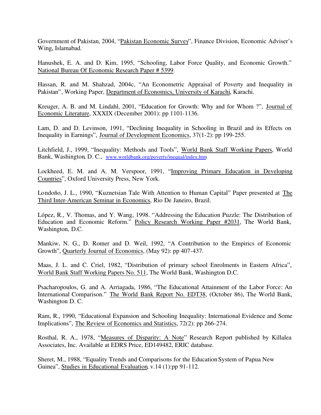Government of Pakistan, 2004, "Pakistan Economic Survey", Finance Division, Economic Adviser's Wing, Islamabad.

Hanushek, E. A. and D. Kim, 1995, "Schooling, Labor Force Quality, and Economic Growth." National Bureau Of Economic Research Paper # 5399.

Hassan, R. and M. Shahzad, 2004c, "An Econometric Appraisal of Poverty and Inequality in Pakistan", Working Paper, Department of Economics, University of Karachi, Karachi.

Kreuger, A. B. and M. Lindahl, 2001, "Education for Growth: Why and for Whom ?", Journal of Economic Literature, XXXIX (December 2001): pp 1101-1136.

Lam, D. and D. Levinson, 1991, "Declining Inequality in Schooling in Brazil and its Effects on Inequality in Earnings", Journal of Development Economics, 37(1-2): pp 199-255.

Litchfield, J., 1999, "Inequality: Methods and Tools", World Bank Staff Working Papers, World Bank, Washington, D. C., www.worldbank.org/poverty/inequal/index.htm

Lockheed, E. M. and A. M. Verspoor, 1991, "Improving Primary Education in Developing Countries", Oxford University Press, New York.

Londoño, J. L., 1990, "Kuznetsian Tale With Attention to Human Capital" Paper presented at The Third Inter-American Seminar in Economics, Rio De Janeiro, Brazil.

López, R., V. Thomas, and Y. Wang, 1998. "Addressing the Education Puzzle: The Distribution of Education and Economic Reform." Policy Research Working Paper #2031, The World Bank, Washington, D.C.

Mankiw, N. G., D. Romer and D. Weil, 1992, "A Contribution to the Empirics of Economic Growth", Quarterly Journal of Economics, (May 92): pp 407-437.

Maas, J. L. and C. Criel, 1982, "Distribution of primary school Enrolments in Eastern Africa", World Bank Staff Working Papers No. 511, The World Bank, Washington D.C.

Psacharopoulos, G. and A. Arriagada, 1986, "The Educational Attainment of the Labor Force: An International Comparison." The World Bank Report No. EDT38, (October 86), The World Bank, Washington D. C.

Ram, R., 1990, "Educational Expansion and Schooling Inequality: International Evidence and Some Implications", The Review of Economics and Statistics, 72(2): pp 266-274.

Rosthal, R. A., 1978, "Measures of Disparity: A Note" Research Report published by Killalea Associates, Inc. Available at EDRS Price, ED149482, ERIC database.

Sheret, M., 1988, "Equality Trends and Comparisons for the Education System of Papua New Guinea", Studies in Educational Evaluation, v.14 (1):pp 91-112.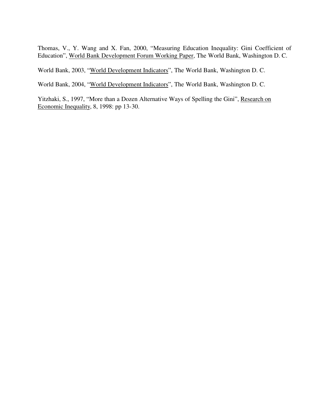Thomas, V., Y. Wang and X. Fan, 2000, "Measuring Education Inequality: Gini Coefficient of Education", World Bank Development Forum Working Paper, The World Bank, Washington D. C.

World Bank, 2003, "World Development Indicators", The World Bank, Washington D. C.

World Bank, 2004, "World Development Indicators", The World Bank, Washington D. C.

Yitzhaki, S., 1997, "More than a Dozen Alternative Ways of Spelling the Gini", Research on Economic Inequality, 8, 1998: pp 13-30.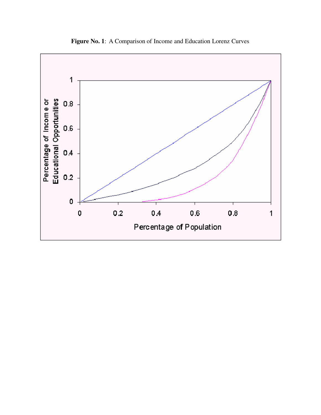

**Figure No. 1**: A Comparison of Income and Education Lorenz Curves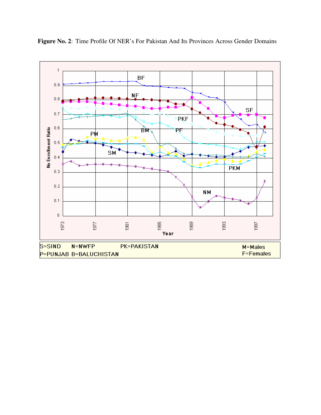

**Figure No. 2**: Time Profile Of NER's For Pakistan And Its Provinces Across Gender Domains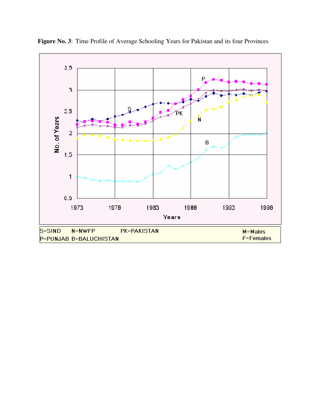

**Figure No. 3**: Time Profile of Average Schooling Years for Pakistan and its four Provinces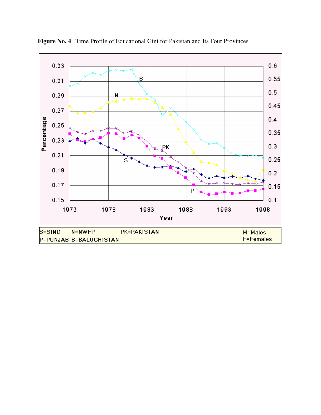

**Figure No. 4**: Time Profile of Educational Gini for Pakistan and Its Four Provinces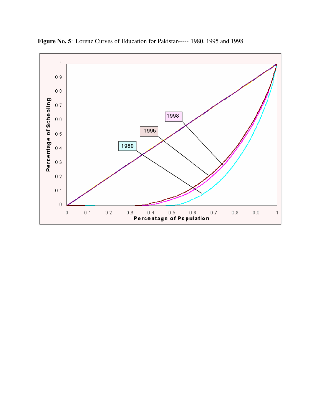

**Figure No. 5**: Lorenz Curves of Education for Pakistan----- 1980, 1995 and 1998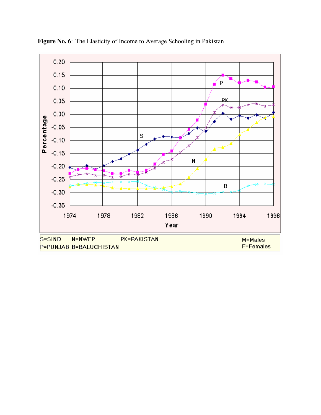

**Figure No. 6**: The Elasticity of Income to Average Schooling in Pakistan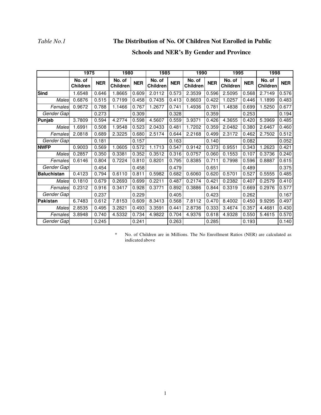## *Table No.1* **The Distribution of No. Of Children Not Enrolled in Public**

## **Schools and NER's By Gender and Province**

|                    | 1975               |            | 1980<br>1985              |            | 1990                      |            | 1995               |            | 1998               |            |                           |            |
|--------------------|--------------------|------------|---------------------------|------------|---------------------------|------------|--------------------|------------|--------------------|------------|---------------------------|------------|
|                    | No. of<br>Children | <b>NER</b> | No. of<br><b>Children</b> | <b>NER</b> | No. of<br><b>Children</b> | <b>NER</b> | No. of<br>Children | <b>NER</b> | No. of<br>Children | <b>NER</b> | No. of<br><b>Children</b> | <b>NER</b> |
| <b>Sind</b>        | 1.6548             | 0.646      | 1.8665                    | 0.609      | 2.0112                    | 0.573      | 2.3539             | 0.596      | 2.5095             | 0.568      | 2.7149                    | 0.576      |
| Males              | 0.6876             | 0.515      | 0.7199                    | 0.458      | 0.7435                    | 0.413      | 0.8603             | 0.422      | 1.0257             | 0.446      | 1.1899                    | 0.483      |
| Females            | 0.9672             | 0.788      | 1.1466                    | 0.767      | 1.2677                    | 0.741      | 1.4936             | 0.781      | 1.4838             | 0.699      | 1.5250                    | 0.677      |
| Gender Gap         |                    | 0.273      |                           | 0.309      |                           | 0.328      |                    | 0.359      |                    | 0.253      |                           | 0.194      |
| Punjab             | 3.7809             | 0.594      | 4.2774                    | 0.598      | 4.5607                    | 0.559      | 3.9371             | 0.426      | 4.3655             | 0.420      | 5.3969                    | 0.485      |
| Males              | 1.6991             | 0.508      | 1.9548                    | 0.523      | 2.0433                    | 0.481      | 1.7202             | 0.359      | 2.0482             | 0.380      | 2.6467                    | 0.460      |
| Females            | 2.0818             | 0.689      | 2.3225                    | 0.680      | 2.5174                    | 0.644      | 2.2168             | 0.499      | 2.3172             | 0.462      | 2.7502                    | 0.512      |
| Gender Gap         |                    | 0.181      |                           | 0.157      |                           | 0.163      |                    | 0.140      |                    | 0.082      |                           | 0.052      |
| <b>NWFP</b>        | 0.9003             | 0.569      | 1.0605                    | 0.572      | 1.1713                    | 0.547      | 0.9142             | 0.373      | 0.9551             | 0.343      | 1.2623                    | 0.421      |
| Males              | 0.2857             | 0.350      | 0.3381                    | 0.352      | 0.3512                    | 0.316      | 0.0757             | 0.060      | 0.1553             | 0.107      | 0.3736                    | 0.240      |
| Females            | 0.6146             | 0.804      | 0.7224                    | 0.810      | 0.8201                    | 0.795      | 0.8385             | 0.711      | 0.7998             | 0.596      | 0.8887                    | 0.615      |
| Gender Gap         |                    | 0.454      |                           | 0.458      |                           | 0.479      |                    | 0.651      |                    | 0.489      |                           | 0.375      |
| <b>Baluchistan</b> | 0.4123             | 0.794      | 0.6110                    | 0.811      | 0.5982                    | 0.682      | 0.6060             | 0.620      | 0.5701             | 0.527      | 0.5555                    | 0.485      |
| Males              | 0.1810             | 0.679      | 0.2693                    | 0.699      | 0.2211                    | 0.487      | 0.2174             | 0.421      | 0.2382             | 0.407      | 0.2579                    | 0.410      |
| Females            | 0.2312             | 0.916      | 0.3417                    | 0.928      | 0.3771                    | 0.892      | 0.3886             | 0.844      | 0.3319             | 0.669      | 0.2976                    | 0.577      |
| Gender Gap         |                    | 0.237      |                           | 0.229      |                           | 0.405      |                    | 0.423      |                    | 0.262      |                           | 0.167      |
| <b>Pakistan</b>    | 6.7483             | 0.612      | 7.8153                    | 0.609      | 8.3413                    | 0.568      | 7.8112             | 0.470      | 8.4002             | 0.450      | 9.9295                    | 0.497      |
| Males              | 2.8535             | 0.495      | 3.2821                    | 0.493      | 3.3591                    | 0.441      | 2.8736             | 0.333      | 3.4674             | 0.357      | 4.4681                    | 0.430      |
| Females            | 3.8948             | 0.740      | 4.5332                    | 0.734      | 4.9822                    | 0.704      | 4.9376             | 0.618      | 4.9328             | 0.550      | 5.4615                    | 0.570      |
| Gender Gap         |                    | 0.245      |                           | 0.241      |                           | 0.263      |                    | 0.285      |                    | 0.193      |                           | 0.140      |

\* No. of Children are in Millions. The No Enrollment Ratios (NER) are calculated as indicated above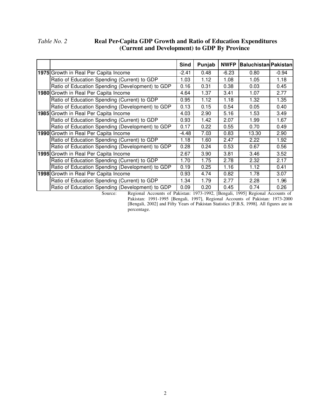## *Table No. 2* **Real Per-Capita GDP Growth and Ratio of Education Expenditures (Current and Development) to GDP By Province**

|                                                                                                                                         | Sind    | Punjab | <b>NWFP</b> | <b>Baluchistan Pakistan</b> |         |
|-----------------------------------------------------------------------------------------------------------------------------------------|---------|--------|-------------|-----------------------------|---------|
| 1975 Growth in Real Per Capita Income                                                                                                   | -2.41   | 0.48   | $-6.23$     | 0.80                        | $-0.94$ |
| Ratio of Education Spending (Current) to GDP                                                                                            | 1.03    | 1.12   | 1.08        | 1.05                        | 1.18    |
| Ratio of Education Spending (Development) to GDP                                                                                        | 0.16    | 0.31   | 0.38        | 0.03                        | 0.45    |
| 1980 Growth in Real Per Capita Income                                                                                                   | 4.64    | 1.37   | 3.41        | 1.07                        | 2.77    |
| Ratio of Education Spending (Current) to GDP                                                                                            | 0.95    | 1.12   | 1.18        | 1.32                        | 1.35    |
| Ratio of Education Spending (Development) to GDP                                                                                        | 0.13    | 0.15   | 0.54        | 0.05                        | 0.40    |
| 1985 Growth in Real Per Capita Income                                                                                                   | 4.03    | 2.90   | 5.16        | 1.53                        | 3.49    |
| Ratio of Education Spending (Current) to GDP                                                                                            | 0.93    | 1.42   | 2.07        | 1.99                        | 1.67    |
| Ratio of Education Spending (Development) to GDP                                                                                        | 0.17    | 0.22   | 0.55        | 0.70                        | 0.49    |
| 1990 Growth in Real Per Capita Income                                                                                                   | $-4.48$ | 7.03   | 0.83        | 13.30                       | 2.90    |
| Ratio of Education Spending (Current) to GDP                                                                                            | 1.18    | 1.60   | 2.47        | 2.22                        | 1.92    |
| Ratio of Education Spending (Development) to GDP                                                                                        | 0.28    | 0.24   | 0.53        | 0.67                        | 0.56    |
| 1995 Growth in Real Per Capita Income                                                                                                   | 2.67    | 3.90   | 3.81        | 3.46                        | 3.52    |
| Ratio of Education Spending (Current) to GDP                                                                                            | 1.70    | 1.75   | 2.78        | 2.32                        | 2.17    |
| Ratio of Education Spending (Development) to GDP                                                                                        | 0.19    | 0.25   | 1.16        | 1.12                        | 0.41    |
| 1998 Growth in Real Per Capita Income                                                                                                   | 0.93    | 4.74   | 0.82        | 1.78                        | 3.07    |
| Ratio of Education Spending (Current) to GDP                                                                                            | 1.34    | 1.79   | 2.77        | 2.28                        | 1.96    |
| Ratio of Education Spending (Development) to GDP<br>Course Beginnal Asseumts of Deligton: 1072-1002 [Dengeli 1005] Degional Asseunts of | 0.09    | 0.20   | 0.45        | 0.74                        | 0.26    |

Source: Regional Accounts of Pakistan: 1973-1992, [Bengali, 1995] Regional Accounts of Pakistan: 1991-1995 [Bengali, 1997], Regional Accounts of Pakistan: 1973-2000 [Bengali, 2002] and Fifty Years of Pakistan Statistics [F.B.S, 1998]. All figures are in percentage.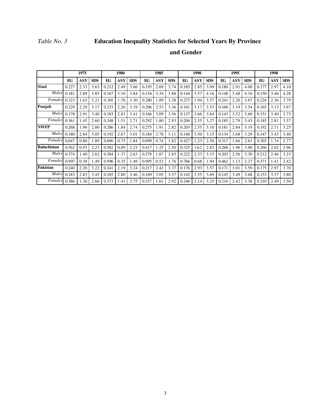## *Table No. 3* **Education Inequality Statistics for Selected Years By Province**

## **and Gender**

|                    |       | 1975       |            |       | 1980 |            |       | 1985 |            |       | 1990 |            |       | 1995       |            |       | 1998       |            |
|--------------------|-------|------------|------------|-------|------|------------|-------|------|------------|-------|------|------------|-------|------------|------------|-------|------------|------------|
|                    | EG    | <b>ASY</b> | <b>SDS</b> | EG    | ASY  | <b>SDS</b> | EG    | ASY  | <b>SDS</b> | EG    | ASY  | <b>SDS</b> | EG    | <b>ASY</b> | <b>SDS</b> | EG    | <b>ASY</b> | <b>SDS</b> |
| <b>Sind</b>        | 0.227 | 2.33       | 3.63       | 0.212 | 2.49 | 3.66       | 0.195 | 2.69 | 3.74       | 0.185 | 2.85 | 3.99       | 0.180 | 2.91       | 4.00       | 0.177 | 2.97       | 4.10       |
| Males              | 0.181 | 2.89       | 3.85       | 0.167 | 3.10 | 3.84       | 0.154 | 3.34 | 3.88       | 0.144 | 3.57 | 4.16       | 0.148 | 3.48       | 4.16       | 0.150 | 3.46       | 4.28       |
| Females            | 0.323 | 1.63       | 3.21       | 0.301 | 1.76 | 3.30       | 0.280 | 1.89 | 3.38       | 0.273 | 1.94 | 3.57       | 0.241 | 2.20       | 3.67       | 0.224 | 2.36       | 3.79       |
| Punjab             | 0.229 | 2.29       | 3.17       | 0.233 | 2.26 | 3.19       | 0.206 | 2.53 | 3.36       | 0.161 | 3.17 | 3.53       | 0.160 | 3.19       | 3.54       | 0.165 | 3.13       | 3.67       |
| Males              | 0.178 | 2.91       | 3.40       | 0.183 | 2.83 | 3.41       | 0.166 | 3.09 | 3.56       | 0.137 | 3.66 | 3.64       | 0.143 | 3.52       | 3.60       | 0.151 | 3.40       | 3.73       |
| Females            | 0.361 | 1.45       | 2.60       | 0.348 | 1.51 | 2.71       | 0.292 | 1.80 | 2.93       | 0.204 | 2.55 | 3.27       | 0.185 | 2.79       | 3.43       | 0.185 | 2.81       | 3.57       |
| <b>NWFP</b>        | 0.268 | 1.96       | 2.80       | 0.286 | 1.84 | 2.74       | 0.275 | 1.91 | 2.82       | 0.203 | 2.55 | 3.10       | 0.181 | 2.84       | 3.19       | 0.192 | 2.71       | 3.25       |
| Males              | 0.180 | 2.84       | 3.05       | 0.192 | 2.67 | 3.01       | 0.184 | 2.78 | 3.11       | 0.140 | 3.50 | 3.15       | 0.134 | 3.68       | 3.29       | 0.147 | 3.43       | 3.40       |
| Females            | 0.647 | 0.80       | 1.89       | 0.696 | 0.75 | 1.84       | 0.699 | 0.74 | 1.82       | 0.427 | 1.23 | 2.50       | 0.317 | 1.66       | 2.61       | 0.303 | 1.74       | 2.77       |
| <b>Baluchistan</b> | 0.562 | 0.93       | 2.23       | 0.582 | 0.89 | 2.23       | 0.417 | 1.25 | 2.50       | 0.325 | 1.62 | 2.82       | 0.268 | 1.96       | 3.00       | 0.260 | 2.02       | 2.96       |
| Males              | 0.374 | 1.40       | 2.62       | 0.384 | 1.37 | 2.63       | 0.278 | 1.87 | 2.83       | 0.222 | 2.33 | 3.15       | 0.203 | 2.56       | 3.30       | 0.212 | 2.46       | 3.23       |
| Females            | 0.997 | 0.38       | 1.49       | 0.996 | 0.35 | 1.49       | 0.995 | 0.52 | 1.76       | 0.766 | 0.68 | 1.94       | 0.462 | 1.13       | 2.27       | 0.371 | 1.41       | 2.42       |
| Pakistan           | 0.240 | 2.20       | 3.22       | 0.241 | 2.19 | 3.24       | 0.217 | 2.42 | 3.37       | 0.176 | 2.93 | 3.57       | 0.171 | 3.01       | 3.59       | 0.175 | 2.97       | 3.70       |
| Males              | 0.183 | 2.83       | 3.45       | 0.185 | 2.80 | 3.46       | 0.169 | 3.05 | 3.57       | 0.142 | 3.55 | 3.69       | 0.145 | 3.49       | 3.68       | 0.153 | 3.37       | 3.80       |
| Females            | 0.386 | 1.36       | 2.66       | 0.373 | 1.41 | 2.75       | 0.327 | 1.61 | 2.92       | 0.246 | 2.14 | 3.25       | 0.216 | 2.42       | 3.38       | 0.210 | 2.49       | 3.50       |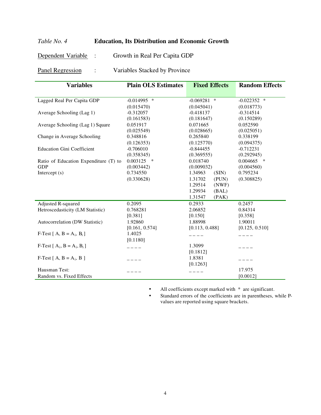## *Table No. 4* **Education, Its Distribution and Economic Growth**

Dependent Variable : Growth in Real Per Capita GDP

Panel Regression : Variables Stacked by Province

| <b>Variables</b>                      | <b>Plain OLS Estimates</b> | <b>Fixed Effects</b> | <b>Random Effects</b> |
|---------------------------------------|----------------------------|----------------------|-----------------------|
|                                       |                            |                      |                       |
| Lagged Real Per Capita GDP            | $-0.014995$ *              | $-0.069281$ *        | $-0.022352$ *         |
|                                       | (0.015470)                 | (0.045041)           | (0.018773)            |
| Average Schooling (Lag 1)             | $-0.312057$                | $-0.418137$          | $-0.314514$           |
|                                       | (0.161583)                 | (0.181647)           | (0.150289)            |
| Average Schooling (Lag 1) Square      | 0.051917                   | 0.071665             | 0.052590              |
|                                       | (0.025549)                 | (0.028665)           | (0.025051)            |
| Change in Average Schooling           | 0.348816                   | 0.265840             | 0.338199              |
|                                       | (0.126353)                 | (0.125770)           | (0.094375)            |
| <b>Education Gini Coefficient</b>     | $-0.706010$                | $-0.844455$          | $-0.712231$           |
|                                       | (0.358345)                 | (0.369555)           | (0.292945)            |
| Ratio of Education Expenditure (T) to | 0.003125<br>$\ast$         | 0.018740             | 0.004665<br>$\ast$    |
| <b>GDP</b>                            | (0.003442)                 | (0.009032)           | (0.004560)            |
| Intercept $(s)$                       | 0.734550                   | (SIN)<br>1.34963     | 0.795234              |
|                                       | (0.330628)                 | 1.31702<br>(PUN)     | (0.308825)            |
|                                       |                            | 1.29514<br>(NWF)     |                       |
|                                       |                            | 1.29934<br>(BAL)     |                       |
|                                       |                            | 1.31547<br>(PAK)     |                       |
| Adjusted R-squared                    | 0.2095                     | 0.2933               | 0.2457                |
| Hetroscedasticity (LM Statistic)      | 0.768281                   | 2.06852              | 0.84314               |
|                                       | [0.381]                    | [0.150]              | [0.358]               |
| Autocorrelation (DW Statistic)        | 1.92860                    | 1.88998              | 1.90011               |
|                                       | [0.161, 0.574]             | [0.113, 0.488]       | [0.125, 0.510]        |
| F-Test $[A, B = A_i, B_i]$            | 1.4025                     |                      |                       |
|                                       | [0.1180]                   |                      |                       |
| F-Test $[A_i, B = A_i, B_i]$          |                            | 1.3099               |                       |
|                                       |                            | [0.1812]             |                       |
| F-Test $[A, B = A_i, B]$              |                            | 1.8381               |                       |
|                                       |                            | [0.1263]             |                       |
| Hausman Test:                         |                            |                      | 17.975                |
| Random vs. Fixed Effects              |                            |                      | [0.0012]              |

• All coefficients except marked with  $*$  are significant.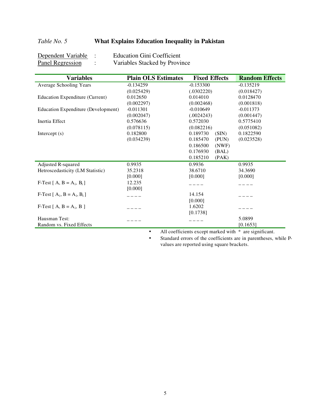## *Table No. 5* **What Explains Education Inequality in Pakistan**

| Dependent Variable | <b>Education Gini Coefficient</b> |
|--------------------|-----------------------------------|
| Panel Regression   | Variables Stacked by Province     |

| <b>Variables</b>                       | <b>Plain OLS Estimates</b> | <b>Fixed Effects</b> | <b>Random Effects</b> |
|----------------------------------------|----------------------------|----------------------|-----------------------|
| Average Schooling Years                | $-0.134259$                | $-0.153300$          | $-0.135219$           |
|                                        | (0.025429)                 | (.0302220)           | (0.018427)            |
| <b>Education Expenditure (Current)</b> | 0.012650                   | 0.014010             | 0.0128470             |
|                                        | (0.002297)                 | (0.002468)           | (0.001818)            |
| Education Expenditure (Development)    | $-0.011301$                | $-0.010649$          | $-0.011373$           |
|                                        | (0.002047)                 | (.0024243)           | (0.001447)            |
| Inertia Effect                         | 0.576636                   | 0.572030             | 0.5775410             |
|                                        | (0.078115)                 | (0.082216)           | (0.051082)            |
| Intercept $(s)$                        | 0.182800                   | 0.189730<br>(SIN)    | 0.1822590             |
|                                        | (0.034239)                 | 0.185470<br>(PUN)    | (0.023528)            |
|                                        |                            | 0.186500<br>(NWF)    |                       |
|                                        |                            | 0.176930<br>(BAL)    |                       |
|                                        |                            | 0.185210<br>(PAK)    |                       |
| Adjusted R-squared                     | 0.9935                     | 0.9936               | 0.9935                |
| Hetroscedasticity (LM Statistic)       | 35.2318                    | 38.6710              | 34.3690               |
|                                        | [0.000]                    | [0.000]              | [0.000]               |
| F-Test $[A, B = A_i, B_i]$             | 12.235                     |                      |                       |
|                                        | [0.000]                    |                      |                       |
| F-Test $[A_i, B = A_i, B_i]$           |                            | 14.154               |                       |
|                                        |                            | [0.000]              |                       |
| F-Test $[A, B = A_i, B]$               |                            | 1.6202               |                       |
|                                        |                            | [0.1738]             |                       |
| Hausman Test:                          |                            |                      | 5.0899                |
| Random vs. Fixed Effects               |                            |                      | [0.1653]              |

• All coefficients except marked with  $*$  are significant.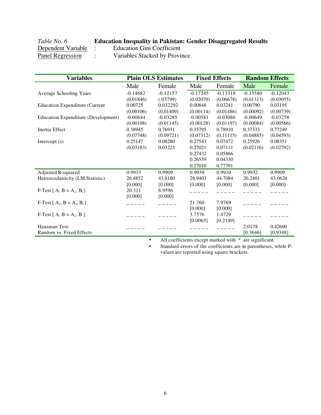# *Table No. 6* **Education Inequality in Pakistan: Gender Disaggregated Results**

**Dependent Variable :** Education Gini Coefficient<br>Panel Regression : Variables Stacked by Province

: Variables Stacked by Province

| <b>Variables</b>                           |            | <b>Plain OLS Estimates</b> |            | <b>Fixed Effects</b> | <b>Random Effects</b> |            |
|--------------------------------------------|------------|----------------------------|------------|----------------------|-----------------------|------------|
|                                            | Male       | Female                     | Male       | Female               | Male                  | Female     |
| Average Schooling Years                    | $-0.14682$ | $-0.12157$                 | $-0.17245$ | $-0.13318$           | $-0.15580$            | $-0.12043$ |
|                                            | (0.01846)  | (.05799)                   | (0.02070)  | (0.06678)            | (0.01313)             | (0.03055)  |
| <b>Education Expenditure (Current</b>      | 0.00725    | 0.032292                   | 0.00848    | 0.03241              | 0.00790               | 0.03195    |
|                                            | (0.00106)  | (0.01409)                  | (0.00114)  | (0.01486)            | (0.00092)             | (0.00739)  |
| <b>Education Expenditure (Development)</b> | $-0.00644$ | $-0.03285$                 | $-0.00581$ | $-0.03086$           | $-0.00649$            | $-0.03258$ |
|                                            | (0.00108)  | (0.01145)                  | (0.00128)  | (0.01197)            | (0.00084)             | (0.00566)  |
| Inertia Effect                             | 0.38945    | 0.76931                    | 0.35795    | 0.78910              | 0.37333               | 0.77249    |
|                                            | (0.07748)  | (0.09721)                  | (0.07312)  | (0.11115)            | (0.04885)             | (0.04593)  |
| Intercept $(s)$                            | 0.25147    | 0.08280                    | 0.27543    | 0.07472              | 0.25926               | 0.08351    |
|                                            | (0.03183)  | 0.03223                    | 0.27021    | 0.07111              | (0.02116)             | (0.02792)  |
|                                            |            |                            | 0.27432    | 0.05866              |                       |            |
|                                            |            |                            | 0.26559    | 0.04330              |                       |            |
|                                            |            |                            | 0.27010    | 0.77391              |                       |            |
| Adjusted R-squared                         | 0.9933     | 0.9909                     | 0.9939     | 0.9910               | 0.9932                | 0.9909     |
| Hetroscedasticity (LM Statistic)           | 26.4852    | 43.8180                    | 28.9403    | 44.7084              | 20.2401               | 43.0624    |
|                                            | [0.000]    | [0.000]                    | [0.000]    | [0.000]              | [0.000]               | [0.000]    |
| F-Test $[A, B = A_i, B_i]$                 | 20.311     | 6.9596                     |            |                      |                       |            |
|                                            | [0.000]    | [0.000]                    |            |                      |                       |            |
| F-Test $[A_i, B = A_i, B_i]$               |            | $\frac{1}{2}$              | 21.760     | 7.9769               |                       |            |
|                                            |            |                            | [0.000]    | [0.000]              |                       |            |
| F-Test $[A, B = A_i, B]$                   |            |                            | 3.7576     | 1.4729               |                       |            |
|                                            |            |                            | [0.0065]   | [0.2149]             |                       |            |
| Hausman Test:                              |            |                            |            |                      | 2.0178                | 0.42600    |
| Random vs. Fixed Effects                   |            |                            |            |                      | [0.3646]              | [0.9348]   |

• All coefficients except marked with  $*$  are significant.